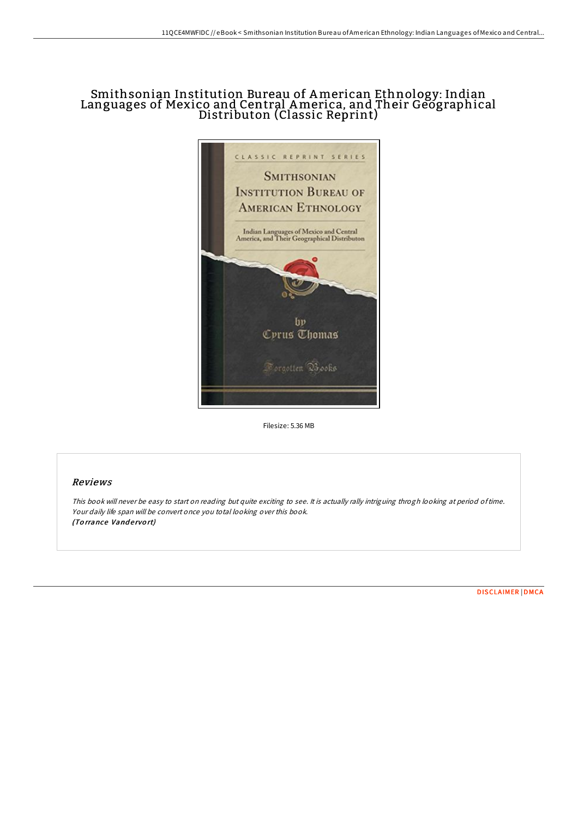# Smithsonian Institution Bureau of American Ethnology: Indian Languages of Mexico and Central America, and Their Geographical Distributon (Classic Reprint)



Filesize: 5.36 MB

## Reviews

This book will never be easy to start on reading but quite exciting to see. It is actually rally intriguing throgh looking at period oftime. Your daily life span will be convert once you total looking over this book. (Torrance Vandervort)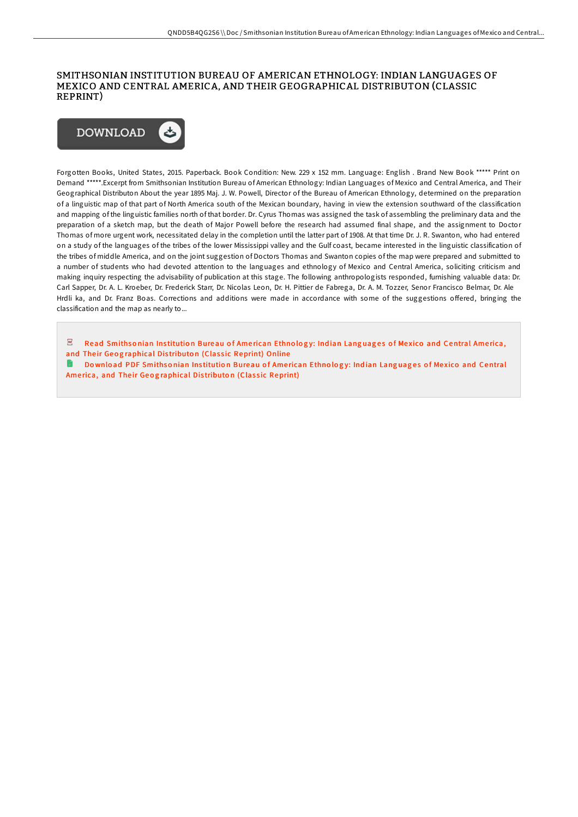#### SMITHSONIAN INSTITUTION BUREAU OF AMERICAN ETHNOLOGY: INDIAN LANGUAGES OF MEXICO AND CENTRAL AMERICA, AND THEIR GEOGRAPHICAL DISTRIBUTON (CLASSIC REPRINT)



Forgotten Books, United States, 2015. Paperback. Book Condition: New. 229 x 152 mm. Language: English . Brand New Book \*\*\*\*\* Print on Demand \*\*\*\*\*.Excerpt from Smithsonian Institution Bureau of American Ethnology: Indian Languages of Mexico and Central America, and Their Geographical Distributon About the year 1895 Maj. J. W. Powell, Director of the Bureau of American Ethnology, determined on the preparation of a linguistic map of that part of North America south of the Mexican boundary, having in view the extension southward of the classification and mapping of the linguistic families north of that border. Dr. Cyrus Thomas was assigned the task of assembling the preliminary data and the preparation of a sketch map, but the death of Major Powell before the research had assumed final shape, and the assignment to Doctor Thomas of more urgent work, necessitated delay in the completion until the latter part of 1908. At that time Dr. J. R. Swanton, who had entered on a study of the languages of the tribes of the lower Mississippi valley and the Gulf coast, became interested in the linguistic classification of the tribes of middle America, and on the joint suggestion of Doctors Thomas and Swanton copies of the map were prepared and submitted to a number of students who had devoted attention to the languages and ethnology of Mexico and Central America, soliciting criticism and making inquiry respecting the advisability of publication at this stage. The following anthropologists responded, furnishing valuable data: Dr. Carl Sapper, Dr. A. L. Kroeber, Dr. Frederick Starr, Dr. Nicolas Leon, Dr. H. Pittier de Fabrega, Dr. A. M. Tozzer, Senor Francisco Belmar, Dr. Ale Hrdli ka, and Dr. Franz Boas. Corrections and additions were made in accordance with some of the suggestions oFered, bringing the classification and the map as nearly to...

 $\overline{\text{pos}}$ Read Smithsonian Institution Bureau of American Ethnology: Indian Languages of Mexico and Central America, and Their Geog[raphical](http://almighty24.tech/smithsonian-institution-bureau-of-american-ethno-3.html) Distributon (Classic Reprint) Online

 $\blacksquare$ Download PDF Smithsonian Institution Bureau of American Ethnology: Indian Languages of Mexico and Central America, and Their Geog[raphical](http://almighty24.tech/smithsonian-institution-bureau-of-american-ethno-3.html) Distributon (Classic Reprint)